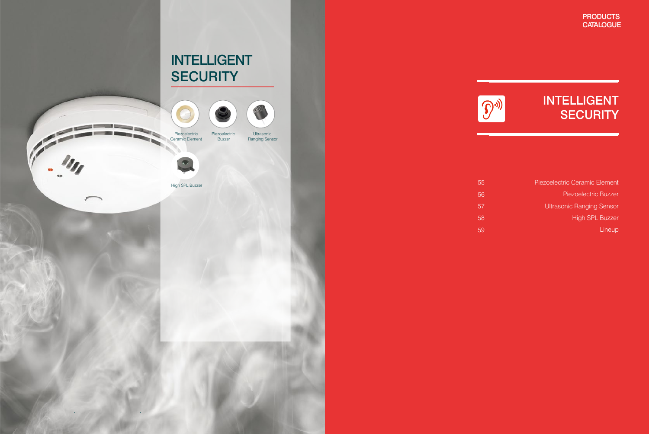# INTELLIGENT **SECURITY**





Piezoelectric Ceramic Element Piezoelectric Buzzer

**Ultrasonic** Ranging Sensor



# INTELLIGENT **SECURITY**

High SPL Buzzer



Piezoelectric Ceramic Element Piezoelectric Buzzer Ultrasonic Ranging Sensor High SPL Buzzer Lineup

PRODUCTS **CATALOGUE** 

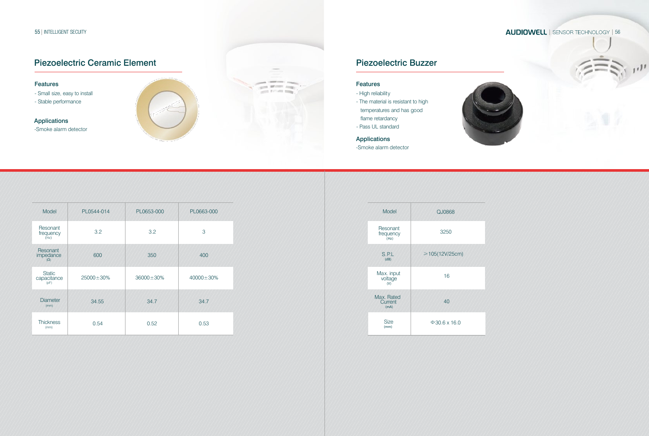| Model                                | PL0544-014 | PL0653-000       | PL0663-000       |
|--------------------------------------|------------|------------------|------------------|
| Resonant<br>frequency<br>(Hz)        | 3.2        | 3.2              | 3                |
| Resonant<br>impedance<br>$(\Omega)$  | 600        | 350              | 400              |
| <b>Static</b><br>capacitance<br>(pF) | 25000±30%  | $36000 \pm 30\%$ | $40000 \pm 30\%$ |
| <b>Diameter</b><br>(mm)              | 34.55      | 34.7             | 34.7             |
| <b>Thickness</b><br>(mm)             | 0.54       | 0.52             | 0.53             |

- Small size, easy to install
- Stable performance





- High reliability
- The material is resistant to high
- temperatures and has good
- flame retardancy
- Pass UL standard

#### Features

## Applications



## Piezoelectric Ceramic Element

#### Features

 $\mu$  and  $\mu$  and  $\mu$  . In this case,  $\mu$ of Firms bank

## Applications

## Piezoelectric Buzzer

-Smoke alarm detector



-Smoke alarm detector